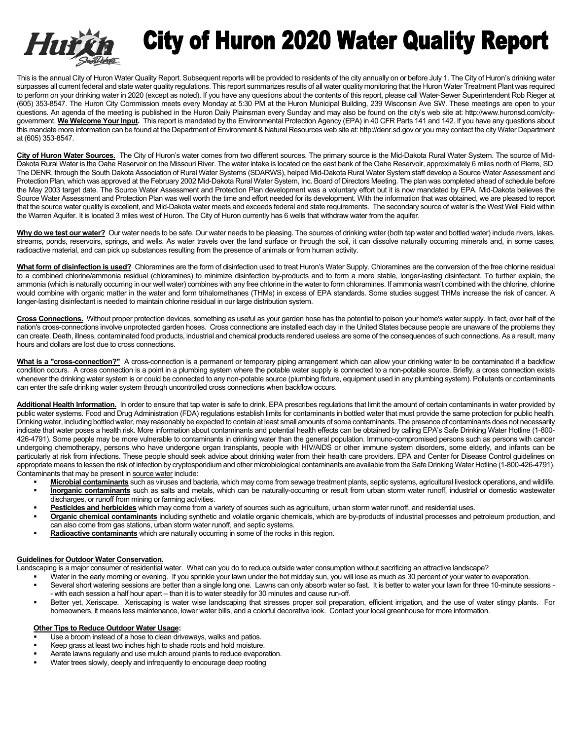

## **City of Huron 2020 Water Quality Report**

This is the annual City of Huron Water Quality Report. Subsequent reports will be provided to residents of the city annually on or before July 1. The City of Huron's drinking water surpasses all current federal and state water quality regulations. This report summarizes results of all water quality monitoring that the Huron Water Treatment Plant was required to perform on your drinking water in 2020 (except as noted). If you have any questions about the contents of this report, please call Water-Sewer Superintendent Rob Rieger at (605) 353-8547. The Huron City Commission meets every Monday at 5:30 PM at the Huron Municipal Building, 239 Wisconsin Ave SW. These meetings are open to your questions. An agenda of the meeting is published in the Huron Daily Plainsman every Sunday and may also be found on the city's web site at: http://www.huronsd.com/citygovernment. **We Welcome Your Input.** This report is mandated by the Environmental Protection Agency (EPA) in 40 CFR Parts 141 and 142. If you have any questions about this mandate more information can be found at the Department of Environment & Natural Resources web site at: http://denr.sd.gov or you may contact the city Water Department at (605) 353-8547.

City of Huron Water Sources. The City of Huron's water comes from two different sources. The primary source is the Mid-Dakota Rural Water System. The source of Mid-Dakota Rural Water is the Oahe Reservoir on the Missouri River. The water intake is located on the east bank of the Oahe Reservoir, approximately 6 miles north of Pierre, SD. The DENR, through the South Dakota Association of Rural Water Systems (SDARWS), helped Mid-Dakota Rural Water System staff develop a Source Water Assessment and Protection Plan, which was approved at the February 2002 Mid-Dakota Rural Water System, Inc. Board of Directors Meeting. The plan was completed ahead of schedule before the May 2003 target date. The Source Water Assessment and Protection Plan development was a voluntary effort but it is now mandated by EPA. Mid-Dakota believes the Source Water Assessment and Protection Plan was well worth the time and effort needed for its development. With the information that was obtained, we are pleased to report that the source water quality is excellent, and Mid-Dakota water meets and exceeds federal and state requirements. The secondary source of water is the West Well Field within the Warren Aquifer. It is located 3 miles west of Huron. The City of Huron currently has 6 wells that withdraw water from the aquifer.

Why do we test our water? Our water needs to be safe. Our water needs to be pleasing. The sources of drinking water (both tap water and bottled water) include rivers, lakes, streams, ponds, reservoirs, springs, and wells. As water travels over the land surface or through the soil, it can dissolve naturally occurring minerals and, in some cases, radioactive material, and can pick up substances resulting from the presence of animals or from human activity.

**What form of disinfection is used?** Chloramines are the form of disinfection used to treat Huron's Water Supply. Chloramines are the conversion of the free chlorine residual to a combined chlorine/ammonia residual (chloramines) to minimize disinfection by-products and to form a more stable, longer-lasting disinfectant. To further explain, the ammonia (which is naturally occurring in our well water) combines with any free chlorine in the water to form chloramines. If ammonia wasn't combined with the chlorine, chlorine would combine with organic matter in the water and form trihalomethanes (THMs) in excess of EPA standards. Some studies suggest THMs increase the risk of cancer. A longer-lasting disinfectant is needed to maintain chlorine residual in our large distribution system.

Cross Connections. Without proper protection devices, something as useful as your garden hose has the potential to poison your home's water supply. In fact, over half of the nation's cross-connections involve unprotected garden hoses. Cross connections are installed each day in the United States because people are unaware of the problems they can create. Death, illness, contaminated food products, industrial and chemical products rendered useless are some of the consequences of such connections. As a result, many hours and dollars are lost due to cross connections.

**What is a "cross-connection?"** A cross-connection is a permanent or temporary piping arrangement which can allow your drinking water to be contaminated if a backflow condition occurs. A cross connection is a point in a plumbing system where the potable water supply is connected to a non-potable source. Briefly, a cross connection exists whenever the drinking water system is or could be connected to any non-potable source (plumbing fixture, equipment used in any plumbing system). Pollutants or contaminants can enter the safe drinking water system through uncontrolled cross connections when backflow occurs.

**Additional Health Information.** In order to ensure that tap water is safe to drink, EPA prescribes regulations that limit the amount of certain contaminants in water provided by public water systems. Food and Drug Administration (FDA) regulations establish limits for contaminants in bottled water that must provide the same protection for public health. Drinking water, including bottled water, may reasonably be expected to contain at least small amounts of some contaminants. The presence of contaminants does not necessarily indicate that water poses a health risk. More information about contaminants and potential health effects can be obtained by calling EPA's Safe Drinking Water Hotline (1-800-426-4791). Some people may be more vulnerable to contaminants in drinking water than the general population. Immuno-compromised persons such as persons with cancer undergoing chemotherapy, persons who have undergone organ transplants, people with HIV/AIDS or other immune system disorders, some elderly, and infants can be particularly at risk from infections. These people should seek advice about drinking water from their health care providers. EPA and Center for Disease Control guidelines on appropriate means to lessen the risk of infection by cryptosporidium and other microbiological contaminants are available from the Safe Drinking Water Hotline (1-800-426-4791). Contaminants that may be present in source water include:

- **Microbial contaminants** such as viruses and bacteria, which may come from sewage treatment plants, septic systems, agricultural livestock operations, and wildlife.
- **Inorganic contaminants** such as salts and metals, which can be naturally-occurring or result from urban storm water runoff, industrial or domestic wastewater discharges, or runoff from mining or farming activities.
- Pesticides and herbicides which may come from a variety of sources such as agriculture, urban storm water runoff, and residential uses.
- **Organic chemical contaminants** including synthetic and volatile organic chemicals, which are by-products of industrial processes and petroleum production, and can also come from gas stations, urban storm water runoff, and septic systems.
- **Radioactive contaminants** which are naturally occurring in some of the rocks in this region.

## **Guidelines for Outdoor Water Conservation.**

Landscaping is a major consumer of residential water. What can you do to reduce outside water consumption without sacrificing an attractive landscape?

- Water in the early morning or evening. If you sprinkle your lawn under the hot midday sun, you will lose as much as 30 percent of your water to evaporation.
- Several short watering sessions are better than a single long one. Lawns can only absorb water so fast. It is better to water your lawn for three 10-minute sessions - with each session a half hour apart – than it is to water steadily for 30 minutes and cause run-off.
- Better yet, Xeriscape. Xeriscaping is water wise landscaping that stresses proper soil preparation, efficient irrigation, and the use of water stingy plants. For homeowners, it means less maintenance, lower water bills, and a colorful decorative look. Contact your local greenhouse for more information.

## **Other Tips to Reduce Outdoor Water Usage:**

- Use a broom instead of a hose to clean driveways, walks and patios.
- Keep grass at least two inches high to shade roots and hold moisture.
- Aerate lawns regularly and use mulch around plants to reduce evaporation.
- Water trees slowly, deeply and infrequently to encourage deep rooting